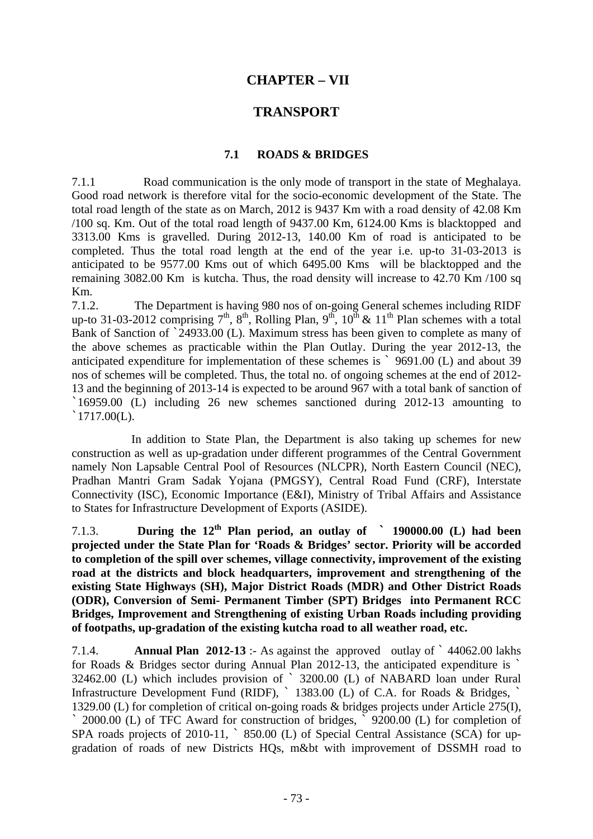# **CHAPTER – VII**

# **TRANSPORT**

#### **7.1 ROADS & BRIDGES**

7.1.1 Road communication is the only mode of transport in the state of Meghalaya. Good road network is therefore vital for the socio-economic development of the State. The total road length of the state as on March, 2012 is 9437 Km with a road density of 42.08 Km /100 sq. Km. Out of the total road length of 9437.00 Km, 6124.00 Kms is blacktopped and 3313.00 Kms is gravelled. During 2012-13, 140.00 Km of road is anticipated to be completed. Thus the total road length at the end of the year i.e. up-to 31-03-2013 is anticipated to be 9577.00 Kms out of which 6495.00 Kms will be blacktopped and the remaining 3082.00 Km is kutcha. Thus, the road density will increase to 42.70 Km /100 sq Km.

7.1.2. The Department is having 980 nos of on-going General schemes including RIDF up-to 31-03-2012 comprising  $7<sup>th</sup>$ ,  $8<sup>th</sup>$ , Rolling Plan,  $9<sup>th</sup>$ ,  $10<sup>th</sup>$  &  $11<sup>th</sup>$  Plan schemes with a total Bank of Sanction of `24933.00 (L). Maximum stress has been given to complete as many of the above schemes as practicable within the Plan Outlay. During the year 2012-13, the anticipated expenditure for implementation of these schemes is ` 9691.00 (L) and about 39 nos of schemes will be completed. Thus, the total no. of ongoing schemes at the end of 2012- 13 and the beginning of 2013-14 is expected to be around 967 with a total bank of sanction of `16959.00 (L) including 26 new schemes sanctioned during 2012-13 amounting to  $1717.00(L)$ .

 In addition to State Plan, the Department is also taking up schemes for new construction as well as up-gradation under different programmes of the Central Government namely Non Lapsable Central Pool of Resources (NLCPR), North Eastern Council (NEC), Pradhan Mantri Gram Sadak Yojana (PMGSY), Central Road Fund (CRF), Interstate Connectivity (ISC), Economic Importance (E&I), Ministry of Tribal Affairs and Assistance to States for Infrastructure Development of Exports (ASIDE).

7.1.3. **During the 12th Plan period, an outlay of ` 190000.00 (L) had been projected under the State Plan for 'Roads & Bridges' sector. Priority will be accorded to completion of the spill over schemes, village connectivity, improvement of the existing road at the districts and block headquarters, improvement and strengthening of the existing State Highways (SH), Major District Roads (MDR) and Other District Roads (ODR), Conversion of Semi- Permanent Timber (SPT) Bridges into Permanent RCC Bridges, Improvement and Strengthening of existing Urban Roads including providing of footpaths, up-gradation of the existing kutcha road to all weather road, etc.** 

7.1.4. **Annual Plan 2012-13** :- As against the approved outlay of ` 44062.00 lakhs for Roads & Bridges sector during Annual Plan 2012-13, the anticipated expenditure is ` 32462.00 (L) which includes provision of ` 3200.00 (L) of NABARD loan under Rural Infrastructure Development Fund (RIDF),  $\degree$  1383.00 (L) of C.A. for Roads & Bridges, 1329.00 (L) for completion of critical on-going roads & bridges projects under Article 275(I),

` 2000.00 (L) of TFC Award for construction of bridges, ` 9200.00 (L) for completion of SPA roads projects of 2010-11,  $\degree$  850.00 (L) of Special Central Assistance (SCA) for upgradation of roads of new Districts HQs, m&bt with improvement of DSSMH road to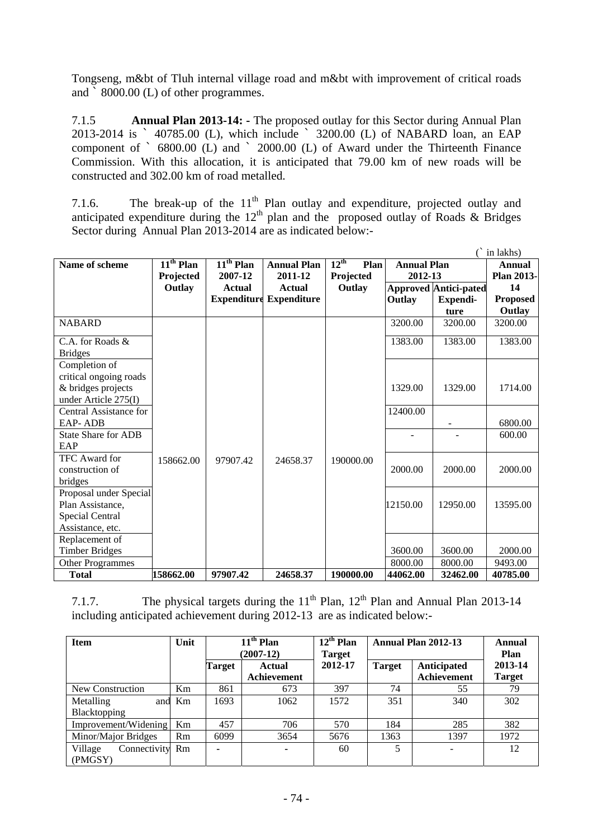Tongseng, m&bt of Tluh internal village road and m&bt with improvement of critical roads and ` 8000.00 (L) of other programmes.

7.1.5 **Annual Plan 2013-14: -** The proposed outlay for this Sector during Annual Plan 2013-2014 is ` 40785.00 (L), which include ` 3200.00 (L) of NABARD loan, an EAP component of ` 6800.00 (L) and ` 2000.00 (L) of Award under the Thirteenth Finance Commission. With this allocation, it is anticipated that 79.00 km of new roads will be constructed and 302.00 km of road metalled.

7.1.6. The break-up of the  $11<sup>th</sup>$  Plan outlay and expenditure, projected outlay and anticipated expenditure during the  $12<sup>th</sup>$  plan and the proposed outlay of Roads & Bridges Sector during Annual Plan 2013-2014 are as indicated below:-

|                            |                                  |             |                                |                          |                    |                              | in lakhs)       |
|----------------------------|----------------------------------|-------------|--------------------------------|--------------------------|--------------------|------------------------------|-----------------|
| Name of scheme             | $\overline{11}^{\text{th}}$ Plan | $11th$ Plan | <b>Annual Plan</b>             | $12^{\text{th}}$<br>Plan | <b>Annual Plan</b> |                              | Annual          |
|                            | Projected                        | 2007-12     | 2011-12                        | Projected                | 2012-13            |                              | Plan 2013-      |
|                            | Outlay                           | Actual      | Actual                         | Outlay                   |                    | <b>Approved Antici-pated</b> | 14              |
|                            |                                  |             | <b>Expenditure Expenditure</b> |                          | Outlay             | Expendi-                     | <b>Proposed</b> |
|                            |                                  |             |                                |                          |                    | ture                         | Outlay          |
| <b>NABARD</b>              |                                  |             |                                |                          | 3200.00            | 3200.00                      | 3200.00         |
| C.A. for Roads &           |                                  |             |                                |                          | 1383.00            | 1383.00                      | 1383.00         |
| <b>Bridges</b>             |                                  |             |                                |                          |                    |                              |                 |
| Completion of              |                                  |             |                                |                          |                    |                              |                 |
| critical ongoing roads     |                                  |             |                                |                          |                    |                              |                 |
| & bridges projects         |                                  |             |                                |                          | 1329.00            | 1329.00                      | 1714.00         |
| under Article 275(I)       |                                  |             |                                |                          |                    |                              |                 |
| Central Assistance for     |                                  |             |                                |                          | 12400.00           |                              |                 |
| <b>EAP-ADB</b>             |                                  |             |                                |                          |                    |                              | 6800.00         |
| <b>State Share for ADB</b> |                                  |             |                                |                          |                    |                              | 600.00          |
| EAP                        |                                  |             |                                |                          |                    |                              |                 |
| <b>TFC</b> Award for       | 158662.00                        | 97907.42    | 24658.37                       | 190000.00                |                    |                              |                 |
| construction of            |                                  |             |                                |                          | 2000.00            | 2000.00                      | 2000.00         |
| bridges                    |                                  |             |                                |                          |                    |                              |                 |
| Proposal under Special     |                                  |             |                                |                          |                    |                              |                 |
| Plan Assistance,           |                                  |             |                                |                          | 12150.00           | 12950.00                     | 13595.00        |
| <b>Special Central</b>     |                                  |             |                                |                          |                    |                              |                 |
| Assistance, etc.           |                                  |             |                                |                          |                    |                              |                 |
| Replacement of             |                                  |             |                                |                          |                    |                              |                 |
| <b>Timber Bridges</b>      |                                  |             |                                |                          | 3600.00            | 3600.00                      | 2000.00         |
| <b>Other Programmes</b>    |                                  |             |                                |                          | 8000.00            | 8000.00                      | 9493.00         |
| <b>Total</b>               | 158662.00                        | 97907.42    | 24658.37                       | 190000.00                | 44062.00           | 32462.00                     | 40785.00        |

7.1.7. The physical targets during the  $11<sup>th</sup>$  Plan,  $12<sup>th</sup>$  Plan and Annual Plan 2013-14 including anticipated achievement during 2012-13 are as indicated below:-

| <b>Item</b>                        | Unit | $11th$ Plan<br>$(2007-12)$ |                       | $12^{\text{th}}$ Plan<br>Target | Annual Plan 2012-13 |                            | Annual<br>Plan           |
|------------------------------------|------|----------------------------|-----------------------|---------------------------------|---------------------|----------------------------|--------------------------|
|                                    |      | Target                     | Actual<br>Achievement | 2012-17                         | <b>Target</b>       | Anticipated<br>Achievement | 2013-14<br><b>Target</b> |
| New Construction                   | Km   | 861                        | 673                   | 397                             | 74                  | 55                         | 79                       |
| Metalling<br>and<br>Blacktopping   | Km   | 1693                       | 1062                  | 1572                            | 351                 | 340                        | 302                      |
| Improvement/Widening               | Km   | 457                        | 706                   | 570                             | 184                 | 285                        | 382                      |
| Minor/Major Bridges                | Rm   | 6099                       | 3654                  | 5676                            | 1363                | 1397                       | 1972                     |
| Village<br>Connectivity<br>(PMGSY) | Rm   |                            | $\blacksquare$        | 60                              | 5                   |                            | 12                       |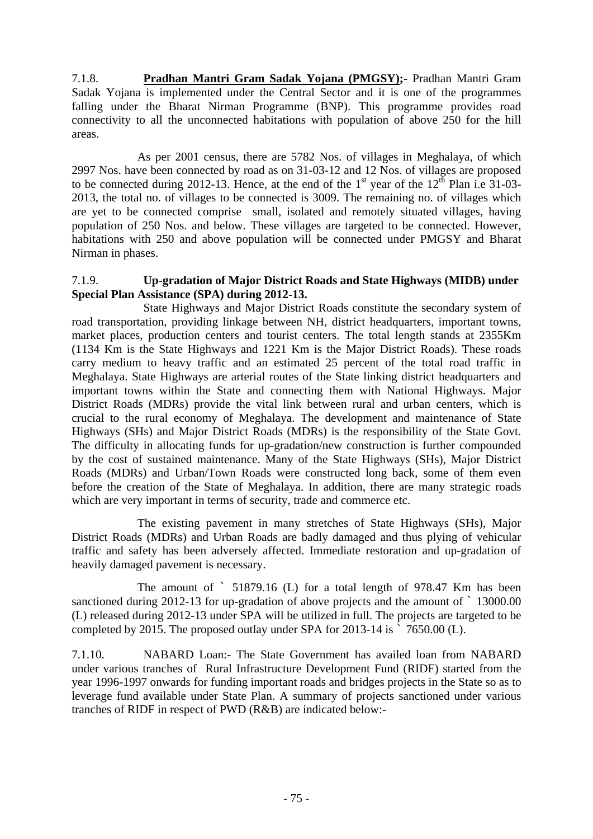7.1.8. **Pradhan Mantri Gram Sadak Yojana (PMGSY);-** Pradhan Mantri Gram Sadak Yojana is implemented under the Central Sector and it is one of the programmes falling under the Bharat Nirman Programme (BNP). This programme provides road connectivity to all the unconnected habitations with population of above 250 for the hill areas.

 As per 2001 census, there are 5782 Nos. of villages in Meghalaya, of which 2997 Nos. have been connected by road as on 31-03-12 and 12 Nos. of villages are proposed to be connected during 2012-13. Hence, at the end of the  $1<sup>st</sup>$  year of the  $12<sup>th</sup>$  Plan i.e 31-03-2013, the total no. of villages to be connected is 3009. The remaining no. of villages which are yet to be connected comprise small, isolated and remotely situated villages, having population of 250 Nos. and below. These villages are targeted to be connected. However, habitations with 250 and above population will be connected under PMGSY and Bharat Nirman in phases.

# 7.1.9. **Up-gradation of Major District Roads and State Highways (MIDB) under Special Plan Assistance (SPA) during 2012-13.**

 State Highways and Major District Roads constitute the secondary system of road transportation, providing linkage between NH, district headquarters, important towns, market places, production centers and tourist centers. The total length stands at 2355Km (1134 Km is the State Highways and 1221 Km is the Major District Roads). These roads carry medium to heavy traffic and an estimated 25 percent of the total road traffic in Meghalaya. State Highways are arterial routes of the State linking district headquarters and important towns within the State and connecting them with National Highways. Major District Roads (MDRs) provide the vital link between rural and urban centers, which is crucial to the rural economy of Meghalaya. The development and maintenance of State Highways (SHs) and Major District Roads (MDRs) is the responsibility of the State Govt. The difficulty in allocating funds for up-gradation/new construction is further compounded by the cost of sustained maintenance. Many of the State Highways (SHs), Major District Roads (MDRs) and Urban/Town Roads were constructed long back, some of them even before the creation of the State of Meghalaya. In addition, there are many strategic roads which are very important in terms of security, trade and commerce etc.

 The existing pavement in many stretches of State Highways (SHs), Major District Roads (MDRs) and Urban Roads are badly damaged and thus plying of vehicular traffic and safety has been adversely affected. Immediate restoration and up-gradation of heavily damaged pavement is necessary.

 The amount of ` 51879.16 (L) for a total length of 978.47 Km has been sanctioned during 2012-13 for up-gradation of above projects and the amount of  $\degree$  13000.00 (L) released during 2012-13 under SPA will be utilized in full. The projects are targeted to be completed by 2015. The proposed outlay under SPA for 2013-14 is ` 7650.00 (L).

7.1.10. NABARD Loan:- The State Government has availed loan from NABARD under various tranches of Rural Infrastructure Development Fund (RIDF) started from the year 1996-1997 onwards for funding important roads and bridges projects in the State so as to leverage fund available under State Plan. A summary of projects sanctioned under various tranches of RIDF in respect of PWD (R&B) are indicated below:-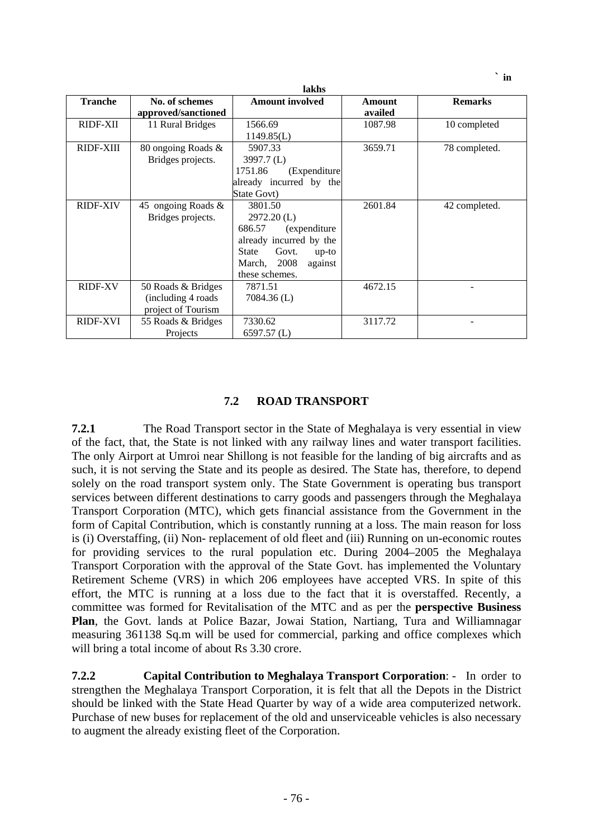|                |                       | lakhs                            |         |                |
|----------------|-----------------------|----------------------------------|---------|----------------|
| <b>Tranche</b> | No. of schemes        | <b>Amount involved</b>           | Amount  | <b>Remarks</b> |
|                | approved/sanctioned   |                                  | availed |                |
| RIDF-XII       | 11 Rural Bridges      | 1566.69                          | 1087.98 | 10 completed   |
|                |                       | 1149.85(L)                       |         |                |
| RIDF-XIII      | 80 ongoing Roads &    | 5907.33                          | 3659.71 | 78 completed.  |
|                | Bridges projects.     | 3997.7(L)                        |         |                |
|                |                       | 1751.86<br>(Expenditure          |         |                |
|                |                       | already incurred by the          |         |                |
|                |                       | State Govt)                      |         |                |
| RIDF-XIV       | 45 ongoing Roads $\&$ | 3801.50                          | 2601.84 | 42 completed.  |
|                | Bridges projects.     | $2972.20$ (L)                    |         |                |
|                |                       | 686.57<br>(expenditure)          |         |                |
|                |                       | already incurred by the          |         |                |
|                |                       | Govt.<br><b>State</b><br>$up-to$ |         |                |
|                |                       | March, 2008<br>against           |         |                |
|                |                       | these schemes.                   |         |                |
| <b>RIDF-XV</b> | 50 Roads & Bridges    | 7871.51                          | 4672.15 |                |
|                | (including 4 roads)   | $7084.36$ (L)                    |         |                |
|                | project of Tourism    |                                  |         |                |
| RIDF-XVI       | 55 Roads & Bridges    | 7330.62                          | 3117.72 |                |
|                | Projects              | $6597.57$ (L)                    |         |                |

# **7.2 ROAD TRANSPORT**

**7.2.1** The Road Transport sector in the State of Meghalaya is very essential in view of the fact, that, the State is not linked with any railway lines and water transport facilities. The only Airport at Umroi near Shillong is not feasible for the landing of big aircrafts and as such, it is not serving the State and its people as desired. The State has, therefore, to depend solely on the road transport system only. The State Government is operating bus transport services between different destinations to carry goods and passengers through the Meghalaya Transport Corporation (MTC), which gets financial assistance from the Government in the form of Capital Contribution, which is constantly running at a loss. The main reason for loss is (i) Overstaffing, (ii) Non- replacement of old fleet and (iii) Running on un-economic routes for providing services to the rural population etc. During 2004–2005 the Meghalaya Transport Corporation with the approval of the State Govt. has implemented the Voluntary Retirement Scheme (VRS) in which 206 employees have accepted VRS. In spite of this effort, the MTC is running at a loss due to the fact that it is overstaffed. Recently, a committee was formed for Revitalisation of the MTC and as per the **perspective Business Plan**, the Govt. lands at Police Bazar, Jowai Station, Nartiang, Tura and Williamnagar measuring 361138 Sq.m will be used for commercial, parking and office complexes which will bring a total income of about Rs 3.30 crore.

**7.2.2 Capital Contribution to Meghalaya Transport Corporation**: - In order to strengthen the Meghalaya Transport Corporation, it is felt that all the Depots in the District should be linked with the State Head Quarter by way of a wide area computerized network. Purchase of new buses for replacement of the old and unserviceable vehicles is also necessary to augment the already existing fleet of the Corporation.

 $\mathbf{in}$  **in**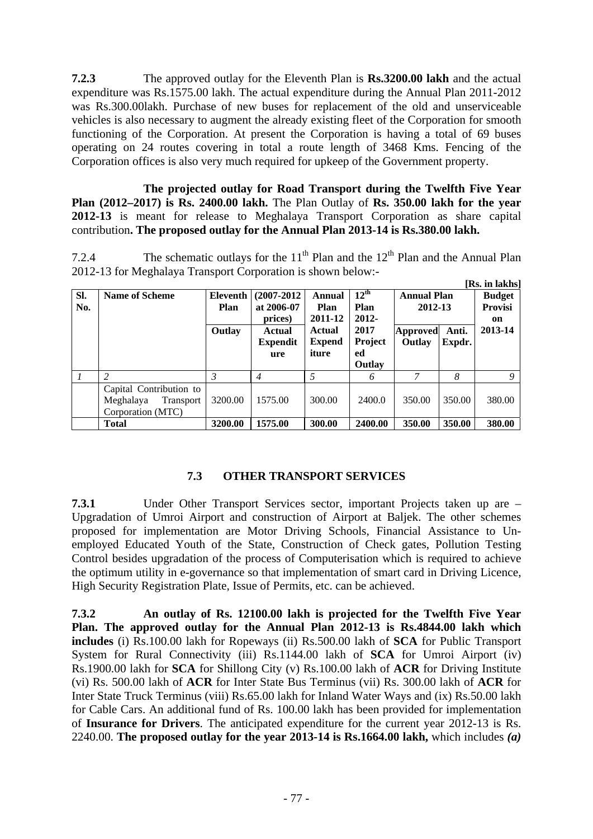**7.2.3** The approved outlay for the Eleventh Plan is **Rs.3200.00 lakh** and the actual expenditure was Rs.1575.00 lakh. The actual expenditure during the Annual Plan 2011-2012 was Rs.300.00lakh. Purchase of new buses for replacement of the old and unserviceable vehicles is also necessary to augment the already existing fleet of the Corporation for smooth functioning of the Corporation. At present the Corporation is having a total of 69 buses operating on 24 routes covering in total a route length of 3468 Kms. Fencing of the Corporation offices is also very much required for upkeep of the Government property.

**The projected outlay for Road Transport during the Twelfth Five Year Plan (2012–2017) is Rs. 2400.00 lakh.** The Plan Outlay of **Rs. 350.00 lakh for the year 2012-13** is meant for release to Meghalaya Transport Corporation as share capital contribution**. The proposed outlay for the Annual Plan 2013-14 is Rs.380.00 lakh.** 

7.2.4 The schematic outlays for the  $11<sup>th</sup>$  Plan and the 12<sup>th</sup> Plan and the Annual Plan 2012-13 for Meghalaya Transport Corporation is shown below:-

|     |                               |          |                 |               |                  |                    |        | [Rs. in lakhs] |
|-----|-------------------------------|----------|-----------------|---------------|------------------|--------------------|--------|----------------|
| SI. | <b>Name of Scheme</b>         | Eleventh | $(2007 - 2012)$ | <b>Annual</b> | $12^{\text{th}}$ | <b>Annual Plan</b> |        | <b>Budget</b>  |
| No. |                               | Plan     | at 2006-07      | Plan          | Plan             | 2012-13            |        | <b>Provisi</b> |
|     |                               |          | prices)         | 2011-12       | 2012-            |                    |        | on             |
|     |                               | Outlay   | <b>Actual</b>   | <b>Actual</b> | 2017             | <b>Approved</b>    | Anti.  | 2013-14        |
|     |                               |          | <b>Expendit</b> | <b>Expend</b> | Project          | Outlay             | Expdr. |                |
|     |                               |          | ure             | iture         | ed               |                    |        |                |
|     |                               |          |                 |               | Outlay           |                    |        |                |
|     |                               | 3        | 4               | 5             | 6                |                    | 8      | 9              |
|     | Capital Contribution to       |          |                 |               |                  |                    |        |                |
|     | Meghalaya<br><b>Transport</b> | 3200.00  | 1575.00         | 300.00        | 2400.0           | 350.00             | 350.00 | 380.00         |
|     | Corporation (MTC)             |          |                 |               |                  |                    |        |                |
|     | <b>Total</b>                  | 3200.00  | 1575.00         | 300.00        | 2400.00          | 350.00             | 350.00 | 380.00         |

# **7.3 OTHER TRANSPORT SERVICES**

**7.3.1** Under Other Transport Services sector, important Projects taken up are – Upgradation of Umroi Airport and construction of Airport at Baljek. The other schemes proposed for implementation are Motor Driving Schools, Financial Assistance to Unemployed Educated Youth of the State, Construction of Check gates, Pollution Testing Control besides upgradation of the process of Computerisation which is required to achieve the optimum utility in e-governance so that implementation of smart card in Driving Licence, High Security Registration Plate, Issue of Permits, etc. can be achieved.

**7.3.2 An outlay of Rs. 12100.00 lakh is projected for the Twelfth Five Year Plan. The approved outlay for the Annual Plan 2012-13 is Rs.4844.00 lakh which includes** (i) Rs.100.00 lakh for Ropeways (ii) Rs.500.00 lakh of **SCA** for Public Transport System for Rural Connectivity (iii) Rs.1144.00 lakh of **SCA** for Umroi Airport (iv) Rs.1900.00 lakh for **SCA** for Shillong City (v) Rs.100.00 lakh of **ACR** for Driving Institute (vi) Rs. 500.00 lakh of **ACR** for Inter State Bus Terminus (vii) Rs. 300.00 lakh of **ACR** for Inter State Truck Terminus (viii) Rs.65.00 lakh for Inland Water Ways and (ix) Rs.50.00 lakh for Cable Cars. An additional fund of Rs. 100.00 lakh has been provided for implementation of **Insurance for Drivers**. The anticipated expenditure for the current year 2012-13 is Rs. 2240.00. **The proposed outlay for the year 2013-14 is Rs.1664.00 lakh,** which includes *(a)*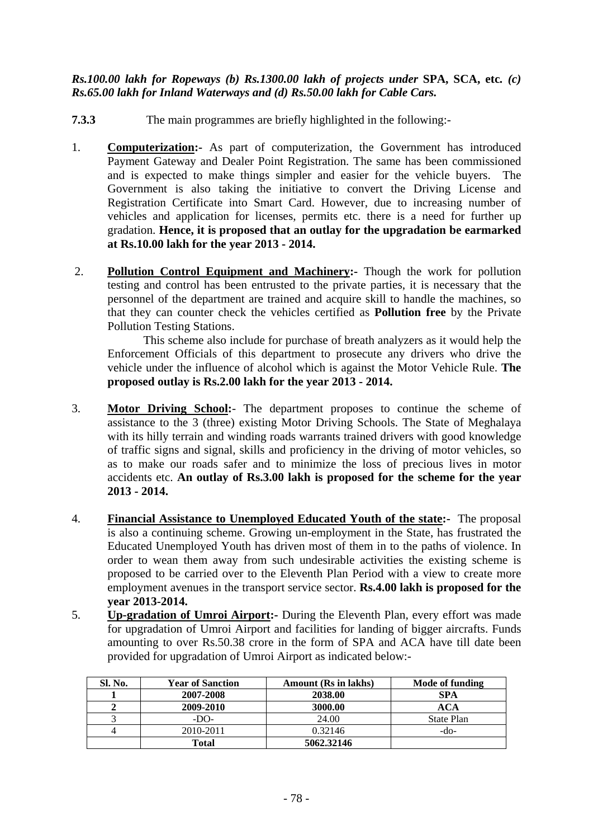# *Rs.100.00 lakh for Ropeways (b) Rs.1300.00 lakh of projects under* **SPA, SCA, etc***. (c) Rs.65.00 lakh for Inland Waterways and (d) Rs.50.00 lakh for Cable Cars.*

- **7.3.3** The main programmes are briefly highlighted in the following:-
- 1. **Computerization:-** As part of computerization, the Government has introduced Payment Gateway and Dealer Point Registration. The same has been commissioned and is expected to make things simpler and easier for the vehicle buyers. The Government is also taking the initiative to convert the Driving License and Registration Certificate into Smart Card. However, due to increasing number of vehicles and application for licenses, permits etc. there is a need for further up gradation. **Hence, it is proposed that an outlay for the upgradation be earmarked at Rs.10.00 lakh for the year 2013 - 2014.**
- 2. **Pollution Control Equipment and Machinery:-** Though the work for pollution testing and control has been entrusted to the private parties, it is necessary that the personnel of the department are trained and acquire skill to handle the machines, so that they can counter check the vehicles certified as **Pollution free** by the Private Pollution Testing Stations.

This scheme also include for purchase of breath analyzers as it would help the Enforcement Officials of this department to prosecute any drivers who drive the vehicle under the influence of alcohol which is against the Motor Vehicle Rule. **The proposed outlay is Rs.2.00 lakh for the year 2013 - 2014.** 

- 3. **Motor Driving School:** The department proposes to continue the scheme of assistance to the 3 (three) existing Motor Driving Schools. The State of Meghalaya with its hilly terrain and winding roads warrants trained drivers with good knowledge of traffic signs and signal, skills and proficiency in the driving of motor vehicles, so as to make our roads safer and to minimize the loss of precious lives in motor accidents etc. **An outlay of Rs.3.00 lakh is proposed for the scheme for the year 2013 - 2014.**
- 4. **Financial Assistance to Unemployed Educated Youth of the state:-** The proposal is also a continuing scheme. Growing un-employment in the State, has frustrated the Educated Unemployed Youth has driven most of them in to the paths of violence. In order to wean them away from such undesirable activities the existing scheme is proposed to be carried over to the Eleventh Plan Period with a view to create more employment avenues in the transport service sector. **Rs.4.00 lakh is proposed for the year 2013-2014.**
- 5.**Up-gradation of Umroi Airport:-** During the Eleventh Plan, every effort was made for upgradation of Umroi Airport and facilities for landing of bigger aircrafts. Funds amounting to over Rs.50.38 crore in the form of SPA and ACA have till date been provided for upgradation of Umroi Airport as indicated below:-

| Sl. No. | <b>Year of Sanction</b> | <b>Amount</b> (Rs in lakhs) | Mode of funding |
|---------|-------------------------|-----------------------------|-----------------|
|         | 2007-2008               | 2038.00                     | SPA             |
|         | 2009-2010               | 3000.00                     | ACA             |
|         | $-DO-$                  | 24.00                       | State Plan      |
|         | 2010-2011               | 0.32146                     | -do-            |
|         | <b>Total</b>            | 5062.32146                  |                 |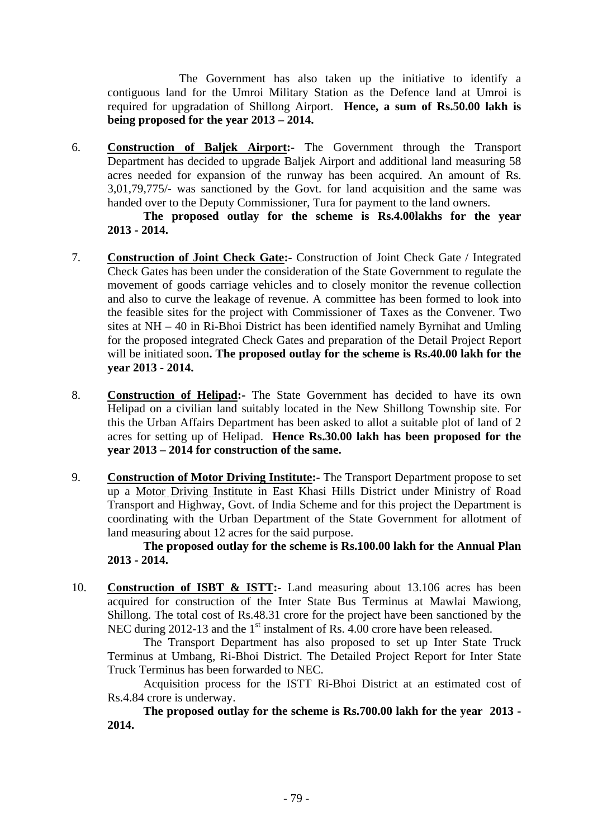The Government has also taken up the initiative to identify a contiguous land for the Umroi Military Station as the Defence land at Umroi is required for upgradation of Shillong Airport. **Hence, a sum of Rs.50.00 lakh is being proposed for the year 2013 – 2014.** 

6. **Construction of Baljek Airport:-** The Government through the Transport Department has decided to upgrade Baljek Airport and additional land measuring 58 acres needed for expansion of the runway has been acquired. An amount of Rs. 3,01,79,775/- was sanctioned by the Govt. for land acquisition and the same was handed over to the Deputy Commissioner, Tura for payment to the land owners.

 **The proposed outlay for the scheme is Rs.4.00lakhs for the year 2013 - 2014.** 

- 7. **Construction of Joint Check Gate:-** Construction of Joint Check Gate / Integrated Check Gates has been under the consideration of the State Government to regulate the movement of goods carriage vehicles and to closely monitor the revenue collection and also to curve the leakage of revenue. A committee has been formed to look into the feasible sites for the project with Commissioner of Taxes as the Convener. Two sites at NH – 40 in Ri-Bhoi District has been identified namely Byrnihat and Umling for the proposed integrated Check Gates and preparation of the Detail Project Report will be initiated soon**. The proposed outlay for the scheme is Rs.40.00 lakh for the year 2013 - 2014.**
- 8. **Construction of Helipad:-** The State Government has decided to have its own Helipad on a civilian land suitably located in the New Shillong Township site. For this the Urban Affairs Department has been asked to allot a suitable plot of land of 2 acres for setting up of Helipad. **Hence Rs.30.00 lakh has been proposed for the year 2013 – 2014 for construction of the same.**
- 9. **Construction of Motor Driving Institute:-** The Transport Department propose to set up a Motor Driving Institute in East Khasi Hills District under Ministry of Road Transport and Highway, Govt. of India Scheme and for this project the Department is coordinating with the Urban Department of the State Government for allotment of land measuring about 12 acres for the said purpose.

 **The proposed outlay for the scheme is Rs.100.00 lakh for the Annual Plan 2013 - 2014.** 

10. **Construction of ISBT & ISTT:-** Land measuring about 13.106 acres has been acquired for construction of the Inter State Bus Terminus at Mawlai Mawiong, Shillong. The total cost of Rs.48.31 crore for the project have been sanctioned by the NEC during 2012-13 and the  $1<sup>st</sup>$  instalment of Rs. 4.00 crore have been released.

The Transport Department has also proposed to set up Inter State Truck Terminus at Umbang, Ri-Bhoi District. The Detailed Project Report for Inter State Truck Terminus has been forwarded to NEC.

Acquisition process for the ISTT Ri-Bhoi District at an estimated cost of Rs.4.84 crore is underway.

 **The proposed outlay for the scheme is Rs.700.00 lakh for the year 2013 - 2014.**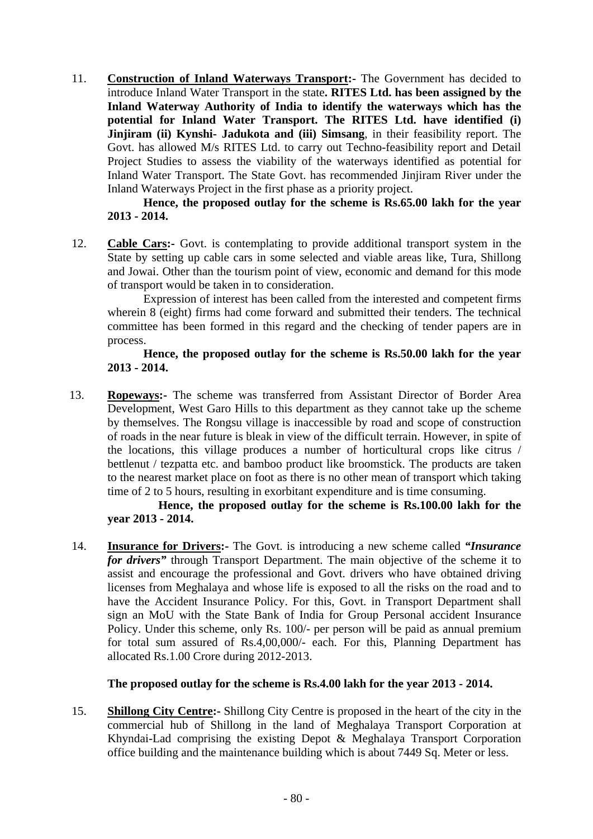11. **Construction of Inland Waterways Transport:-** The Government has decided to introduce Inland Water Transport in the state**. RITES Ltd. has been assigned by the Inland Waterway Authority of India to identify the waterways which has the potential for Inland Water Transport. The RITES Ltd. have identified (i) Jinjiram (ii) Kynshi- Jadukota and (iii) Simsang**, in their feasibility report. The Govt. has allowed M/s RITES Ltd. to carry out Techno-feasibility report and Detail Project Studies to assess the viability of the waterways identified as potential for Inland Water Transport. The State Govt. has recommended Jinjiram River under the Inland Waterways Project in the first phase as a priority project.

 **Hence, the proposed outlay for the scheme is Rs.65.00 lakh for the year 2013 - 2014.** 

12. **Cable Cars:-** Govt. is contemplating to provide additional transport system in the State by setting up cable cars in some selected and viable areas like, Tura, Shillong and Jowai. Other than the tourism point of view, economic and demand for this mode of transport would be taken in to consideration.

 Expression of interest has been called from the interested and competent firms wherein 8 (eight) firms had come forward and submitted their tenders. The technical committee has been formed in this regard and the checking of tender papers are in process.

#### **Hence, the proposed outlay for the scheme is Rs.50.00 lakh for the year 2013 - 2014.**

13. **Ropeways:-** The scheme was transferred from Assistant Director of Border Area Development, West Garo Hills to this department as they cannot take up the scheme by themselves. The Rongsu village is inaccessible by road and scope of construction of roads in the near future is bleak in view of the difficult terrain. However, in spite of the locations, this village produces a number of horticultural crops like citrus / bettlenut / tezpatta etc. and bamboo product like broomstick. The products are taken to the nearest market place on foot as there is no other mean of transport which taking time of 2 to 5 hours, resulting in exorbitant expenditure and is time consuming.

 **Hence, the proposed outlay for the scheme is Rs.100.00 lakh for the year 2013 - 2014.** 

14. **Insurance for Drivers:-** The Govt. is introducing a new scheme called *"Insurance for drivers"* through Transport Department. The main objective of the scheme it to assist and encourage the professional and Govt. drivers who have obtained driving licenses from Meghalaya and whose life is exposed to all the risks on the road and to have the Accident Insurance Policy. For this, Govt. in Transport Department shall sign an MoU with the State Bank of India for Group Personal accident Insurance Policy. Under this scheme, only Rs. 100/- per person will be paid as annual premium for total sum assured of Rs.4,00,000/- each. For this, Planning Department has allocated Rs.1.00 Crore during 2012-2013.

# **The proposed outlay for the scheme is Rs.4.00 lakh for the year 2013 - 2014.**

15. **Shillong City Centre:-** Shillong City Centre is proposed in the heart of the city in the commercial hub of Shillong in the land of Meghalaya Transport Corporation at Khyndai-Lad comprising the existing Depot & Meghalaya Transport Corporation office building and the maintenance building which is about 7449 Sq. Meter or less.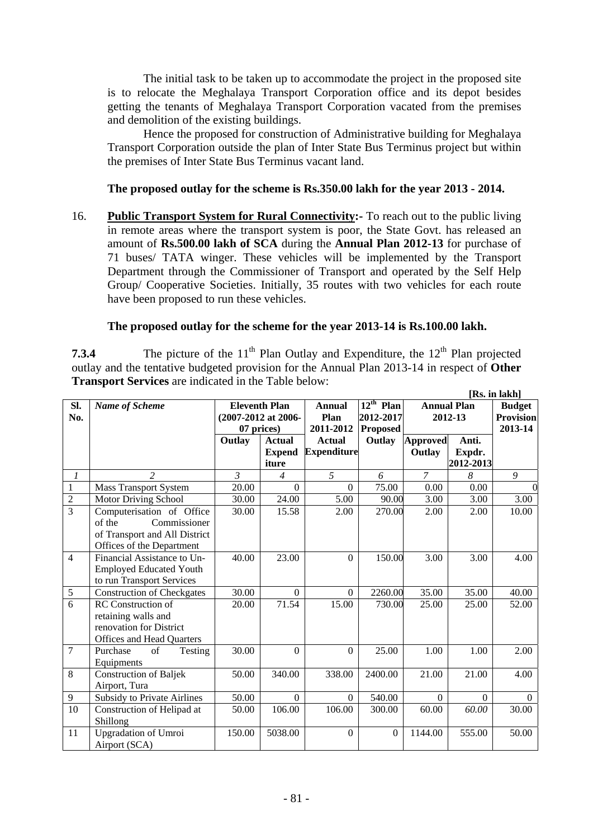The initial task to be taken up to accommodate the project in the proposed site is to relocate the Meghalaya Transport Corporation office and its depot besides getting the tenants of Meghalaya Transport Corporation vacated from the premises and demolition of the existing buildings.

 Hence the proposed for construction of Administrative building for Meghalaya Transport Corporation outside the plan of Inter State Bus Terminus project but within the premises of Inter State Bus Terminus vacant land.

#### **The proposed outlay for the scheme is Rs.350.00 lakh for the year 2013 - 2014.**

16. **Public Transport System for Rural Connectivity:-** To reach out to the public living in remote areas where the transport system is poor, the State Govt. has released an amount of **Rs.500.00 lakh of SCA** during the **Annual Plan 2012-13** for purchase of 71 buses/ TATA winger. These vehicles will be implemented by the Transport Department through the Commissioner of Transport and operated by the Self Help Group/ Cooperative Societies. Initially, 35 routes with two vehicles for each route have been proposed to run these vehicles.

#### **The proposed outlay for the scheme for the year 2013-14 is Rs.100.00 lakh.**

**7.3.4** The picture of the  $11<sup>th</sup>$  Plan Outlay and Expenditure, the  $12<sup>th</sup>$  Plan projected outlay and the tentative budgeted provision for the Annual Plan 2013-14 in respect of **Other Transport Services** are indicated in the Table below:

|                | [Rs. in lakh]                      |        |                      |                       |                                  |                 |                    |                  |
|----------------|------------------------------------|--------|----------------------|-----------------------|----------------------------------|-----------------|--------------------|------------------|
| Sl.            | <b>Name of Scheme</b>              |        | <b>Eleventh Plan</b> | <b>Annual</b><br>Plan | $\overline{12}^{\text{th}}$ Plan |                 | <b>Annual Plan</b> | <b>Budget</b>    |
| No.            |                                    |        | (2007-2012 at 2006-  |                       | 2012-2017                        | 2012-13         |                    | <b>Provision</b> |
|                |                                    |        | 07 prices)           | 2011-2012             | <b>Proposed</b>                  |                 |                    | 2013-14          |
|                |                                    | Outlay | <b>Actual</b>        | <b>Actual</b>         | Outlay                           | <b>Approved</b> | Anti.              |                  |
|                |                                    |        | <b>Expend</b>        | <b>Expenditure</b>    |                                  | Outlay          | Expdr.             |                  |
|                |                                    |        | iture                |                       |                                  |                 | 2012-2013          |                  |
| $\mathcal{I}$  | $\overline{2}$                     | 3      | $\overline{4}$       | 5                     | 6                                | $\overline{7}$  | 8                  | 9                |
| $\mathbf{1}$   | <b>Mass Transport System</b>       | 20.00  | $\Omega$             | $\Omega$              | 75.00                            | 0.00            | 0.00               |                  |
| $\overline{2}$ | <b>Motor Driving School</b>        | 30.00  | 24.00                | 5.00                  | 90.00                            | 3.00            | 3.00               | 3.00             |
| $\overline{3}$ | Computerisation of Office          | 30.00  | 15.58                | 2.00                  | 270.00                           | 2.00            | 2.00               | 10.00            |
|                | Commissioner<br>of the             |        |                      |                       |                                  |                 |                    |                  |
|                | of Transport and All District      |        |                      |                       |                                  |                 |                    |                  |
|                | Offices of the Department          |        |                      |                       |                                  |                 |                    |                  |
| $\overline{4}$ | Financial Assistance to Un-        | 40.00  | 23.00                | $\Omega$              | 150.00                           | 3.00            | 3.00               | 4.00             |
|                | <b>Employed Educated Youth</b>     |        |                      |                       |                                  |                 |                    |                  |
|                | to run Transport Services          |        |                      |                       |                                  |                 |                    |                  |
| $\sqrt{5}$     | <b>Construction of Checkgates</b>  | 30.00  | $\Omega$             | $\Omega$              | 2260.00                          | 35.00           | 35.00              | 40.00            |
| $\overline{6}$ | <b>RC</b> Construction of          | 20.00  | 71.54                | 15.00                 | 730.00                           | 25.00           | 25.00              | 52.00            |
|                | retaining walls and                |        |                      |                       |                                  |                 |                    |                  |
|                | renovation for District            |        |                      |                       |                                  |                 |                    |                  |
|                | Offices and Head Quarters          |        |                      |                       |                                  |                 |                    |                  |
| $\overline{7}$ | of<br>Purchase<br>Testing          | 30.00  | $\mathbf{0}$         | $\overline{0}$        | 25.00                            | 1.00            | 1.00               | 2.00             |
|                | Equipments                         |        |                      |                       |                                  |                 |                    |                  |
| 8              | <b>Construction of Baljek</b>      | 50.00  | 340.00               | 338.00                | 2400.00                          | 21.00           | 21.00              | 4.00             |
|                | Airport, Tura                      |        |                      |                       |                                  |                 |                    |                  |
| 9              | <b>Subsidy to Private Airlines</b> | 50.00  | $\Omega$             | $\overline{0}$        | 540.00                           | $\Omega$        | $\Omega$           | $\Omega$         |
| 10             | Construction of Helipad at         | 50.00  | 106.00               | 106.00                | 300.00                           | 60.00           | 60.00              | 30.00            |
|                | Shillong                           |        |                      |                       |                                  |                 |                    |                  |
| 11             | <b>Upgradation of Umroi</b>        | 150.00 | 5038.00              | $\Omega$              | $\boldsymbol{0}$                 | 1144.00         | 555.00             | 50.00            |
|                | Airport (SCA)                      |        |                      |                       |                                  |                 |                    |                  |